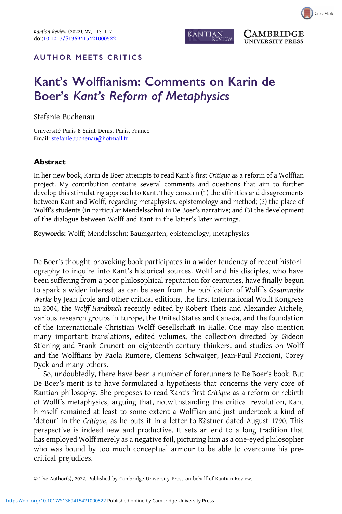

**AMBRIDGE UNIVERSITY PRESS** 

## AUTHOR MEETS CRITICS

## Kant's Wolffianism: Comments on Karin de Boer's Kant's Reform of Metaphysics

Stefanie Buchenau

Université Paris 8 Saint-Denis, Paris, France Email: [stefaniebuchenau@hotmail.fr](mailto:stefaniebuchenau@hotmail.fr)

## Abstract

In her new book, Karin de Boer attempts to read Kant's first Critique as a reform of a Wolffian project. My contribution contains several comments and questions that aim to further develop this stimulating approach to Kant. They concern (1) the affinities and disagreements between Kant and Wolff, regarding metaphysics, epistemology and method; (2) the place of Wolff's students (in particular Mendelssohn) in De Boer's narrative; and (3) the development of the dialogue between Wolff and Kant in the latter's later writings.

Keywords: Wolff; Mendelssohn; Baumgarten; epistemology; metaphysics

De Boer's thought-provoking book participates in a wider tendency of recent historiography to inquire into Kant's historical sources. Wolff and his disciples, who have been suffering from a poor philosophical reputation for centuries, have finally begun to spark a wider interest, as can be seen from the publication of Wolff's Gesammelte Werke by Jean École and other critical editions, the first International Wolff Kongress in 2004, the Wolff Handbuch recently edited by Robert Theis and Alexander Aichele, various research groups in Europe, the United States and Canada, and the foundation of the Internationale Christian Wolff Gesellschaft in Halle. One may also mention many important translations, edited volumes, the collection directed by Gideon Stiening and Frank Grunert on eighteenth-century thinkers, and studies on Wolff and the Wolffians by Paola Rumore, Clemens Schwaiger, Jean-Paul Paccioni, Corey Dyck and many others.

So, undoubtedly, there have been a number of forerunners to De Boer's book. But De Boer's merit is to have formulated a hypothesis that concerns the very core of Kantian philosophy. She proposes to read Kant's first Critique as a reform or rebirth of Wolff's metaphysics, arguing that, notwithstanding the critical revolution, Kant himself remained at least to some extent a Wolffian and just undertook a kind of 'detour' in the Critique, as he puts it in a letter to Kästner dated August 1790. This perspective is indeed new and productive. It sets an end to a long tradition that has employed Wolff merely as a negative foil, picturing him as a one-eyed philosopher who was bound by too much conceptual armour to be able to overcome his precritical prejudices.

<sup>©</sup> The Author(s), 2022. Published by Cambridge University Press on behalf of Kantian Review.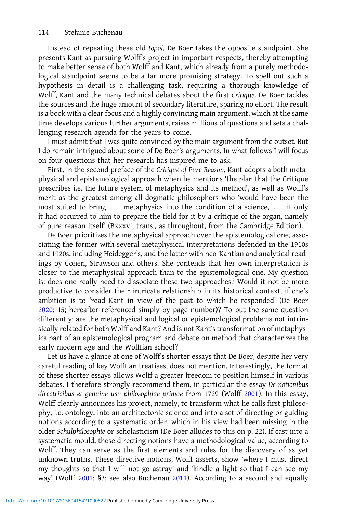Instead of repeating these old topoi, De Boer takes the opposite standpoint. She presents Kant as pursuing Wolff's project in important respects, thereby attempting to make better sense of both Wolff and Kant, which already from a purely methodological standpoint seems to be a far more promising strategy. To spell out such a hypothesis in detail is a challenging task, requiring a thorough knowledge of Wolff, Kant and the many technical debates about the first Critique. De Boer tackles the sources and the huge amount of secondary literature, sparing no effort. The result is a book with a clear focus and a highly convincing main argument, which at the same time develops various further arguments, raises millions of questions and sets a challenging research agenda for the years to come.

I must admit that I was quite convinced by the main argument from the outset. But I do remain intrigued about some of De Boer's arguments. In what follows I will focus on four questions that her research has inspired me to ask.

First, in the second preface of the Critique of Pure Reason, Kant adopts a both metaphysical and epistemological approach when he mentions 'the plan that the Critique prescribes i.e. the future system of metaphysics and its method', as well as Wolff's merit as the greatest among all dogmatic philosophers who 'would have been the most suited to bring ... metaphysics into the condition of a science, ... if only it had occurred to him to prepare the field for it by a critique of the organ, namely of pure reason itself' (Bxxxvi; trans., as throughout, from the Cambridge Edition).

De Boer prioritizes the metaphysical approach over the epistemological one, associating the former with several metaphysical interpretations defended in the 1910s and 1920s, including Heidegger's, and the latter with neo-Kantian and analytical readings by Cohen, Strawson and others. She contends that her own interpretation is closer to the metaphysical approach than to the epistemological one. My question is: does one really need to dissociate these two approaches? Would it not be more productive to consider their intricate relationship in its historical context, if one's ambition is to 'read Kant in view of the past to which he responded' (De Boer [2020:](#page-4-0) 15; hereafter referenced simply by page number)? To put the same question differently: are the metaphysical and logical or epistemological problems not intrinsically related for both Wolff and Kant? And is not Kant's transformation of metaphysics part of an epistemological program and debate on method that characterizes the early modern age and the Wolffian school?

Let us have a glance at one of Wolff's shorter essays that De Boer, despite her very careful reading of key Wolffian treatises, does not mention. Interestingly, the format of these shorter essays allows Wolff a greater freedom to position himself in various debates. I therefore strongly recommend them, in particular the essay De notionibus directricibus et genuine usu philosophiae primae from 1729 (Wolff [2001\)](#page-4-0). In this essay, Wolff clearly announces his project, namely, to transform what he calls first philosophy, i.e. ontology, into an architectonic science and into a set of directing or guiding notions according to a systematic order, which in his view had been missing in the older Schulphilosophie or scholasticism (De Boer alludes to this on p. 22). If cast into a systematic mould, these directing notions have a methodological value, according to Wolff. They can serve as the first elements and rules for the discovery of as yet unknown truths. These directive notions, Wolff asserts, show 'where I must direct my thoughts so that I will not go astray' and 'kindle a light so that I can see my way' (Wolff [2001](#page-4-0): §3; see also Buchenau [2011\)](#page-4-0). According to a second and equally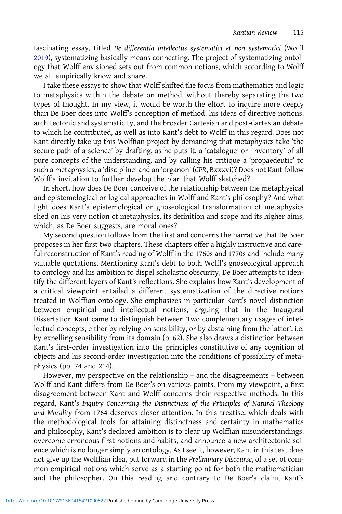fascinating essay, titled De differentia intellectus systematici et non systematici (Wolff [2019\)](#page-4-0), systematizing basically means connecting. The project of systematizing ontology that Wolff envisioned sets out from common notions, which according to Wolff we all empirically know and share.

I take these essays to show that Wolff shifted the focus from mathematics and logic to metaphysics within the debate on method, without thereby separating the two types of thought. In my view, it would be worth the effort to inquire more deeply than De Boer does into Wolff's conception of method, his ideas of directive notions, architectonic and systematicity, and the broader Cartesian and post-Cartesian debate to which he contributed, as well as into Kant's debt to Wolff in this regard. Does not Kant directly take up this Wolffian project by demanding that metaphysics take 'the secure path of a science' by drafting, as he puts it, a 'catalogue' or 'inventory' of all pure concepts of the understanding, and by calling his critique a 'propaedeutic' to such a metaphysics, a 'discipline' and an 'organon' (CPR, Bxxxvi)? Does not Kant follow Wolff's invitation to further develop the plan that Wolff sketched?

In short, how does De Boer conceive of the relationship between the metaphysical and epistemological or logical approaches in Wolff and Kant's philosophy? And what light does Kant's epistemological or gnoseological transformation of metaphysics shed on his very notion of metaphysics, its definition and scope and its higher aims, which, as De Boer suggests, are moral ones?

My second question follows from the first and concerns the narrative that De Boer proposes in her first two chapters. These chapters offer a highly instructive and careful reconstruction of Kant's reading of Wolff in the 1760s and 1770s and include many valuable quotations. Mentioning Kant's debt to both Wolff's gnoseological approach to ontology and his ambition to dispel scholastic obscurity, De Boer attempts to identify the different layers of Kant's reflections. She explains how Kant's development of a critical viewpoint entailed a different systematization of the directive notions treated in Wolffian ontology. She emphasizes in particular Kant's novel distinction between empirical and intellectual notions, arguing that in the Inaugural Dissertation Kant came to distinguish between 'two complementary usages of intellectual concepts, either by relying on sensibility, or by abstaining from the latter', i.e. by expelling sensibility from its domain (p. 62). She also draws a distinction between Kant's first-order investigation into the principles constitutive of any cognition of objects and his second-order investigation into the conditions of possibility of metaphysics (pp. 74 and 214).

However, my perspective on the relationship – and the disagreements – between Wolff and Kant differs from De Boer's on various points. From my viewpoint, a first disagreement between Kant and Wolff concerns their respective methods. In this regard, Kant's Inquiry Concerning the Distinctness of the Principles of Natural Theology and Morality from 1764 deserves closer attention. In this treatise, which deals with the methodological tools for attaining distinctness and certainty in mathematics and philosophy, Kant's declared ambition is to clear up Wolffian misunderstandings, overcome erroneous first notions and habits, and announce a new architectonic science which is no longer simply an ontology. As I see it, however, Kant in this text does not give up the Wolffian idea, put forward in the Preliminary Discourse, of a set of common empirical notions which serve as a starting point for both the mathematician and the philosopher. On this reading and contrary to De Boer's claim, Kant's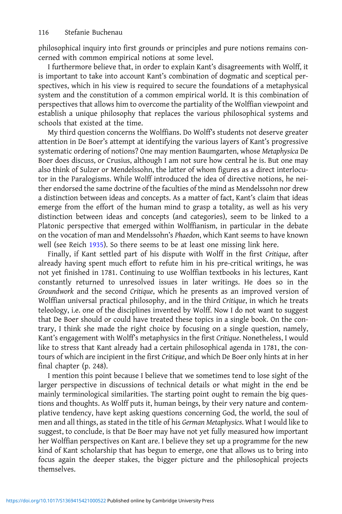philosophical inquiry into first grounds or principles and pure notions remains concerned with common empirical notions at some level.

I furthermore believe that, in order to explain Kant's disagreements with Wolff, it is important to take into account Kant's combination of dogmatic and sceptical perspectives, which in his view is required to secure the foundations of a metaphysical system and the constitution of a common empirical world. It is this combination of perspectives that allows him to overcome the partiality of the Wolffian viewpoint and establish a unique philosophy that replaces the various philosophical systems and schools that existed at the time.

My third question concerns the Wolffians. Do Wolff's students not deserve greater attention in De Boer's attempt at identifying the various layers of Kant's progressive systematic ordering of notions? One may mention Baumgarten, whose Metaphysica De Boer does discuss, or Crusius, although I am not sure how central he is. But one may also think of Sulzer or Mendelssohn, the latter of whom figures as a direct interlocutor in the Paralogisms. While Wolff introduced the idea of directive notions, he neither endorsed the same doctrine of the faculties of the mind as Mendelssohn nor drew a distinction between ideas and concepts. As a matter of fact, Kant's claim that ideas emerge from the effort of the human mind to grasp a totality, as well as his very distinction between ideas and concepts (and categories), seem to be linked to a Platonic perspective that emerged within Wolffianism, in particular in the debate on the vocation of man and Mendelssohn's Phaedon, which Kant seems to have known well (see Reich [1935](#page-4-0)). So there seems to be at least one missing link here.

Finally, if Kant settled part of his dispute with Wolff in the first Critique, after already having spent much effort to refute him in his pre-critical writings, he was not yet finished in 1781. Continuing to use Wolffian textbooks in his lectures, Kant constantly returned to unresolved issues in later writings. He does so in the Groundwork and the second Critique, which he presents as an improved version of Wolffian universal practical philosophy, and in the third Critique, in which he treats teleology, i.e. one of the disciplines invented by Wolff. Now I do not want to suggest that De Boer should or could have treated these topics in a single book. On the contrary, I think she made the right choice by focusing on a single question, namely, Kant's engagement with Wolff's metaphysics in the first Critique. Nonetheless, I would like to stress that Kant already had a certain philosophical agenda in 1781, the contours of which are incipient in the first Critique, and which De Boer only hints at in her final chapter (p. 248).

I mention this point because I believe that we sometimes tend to lose sight of the larger perspective in discussions of technical details or what might in the end be mainly terminological similarities. The starting point ought to remain the big questions and thoughts. As Wolff puts it, human beings, by their very nature and contemplative tendency, have kept asking questions concerning God, the world, the soul of men and all things, as stated in the title of his German Metaphysics. What I would like to suggest, to conclude, is that De Boer may have not yet fully measured how important her Wolffian perspectives on Kant are. I believe they set up a programme for the new kind of Kant scholarship that has begun to emerge, one that allows us to bring into focus again the deeper stakes, the bigger picture and the philosophical projects themselves.